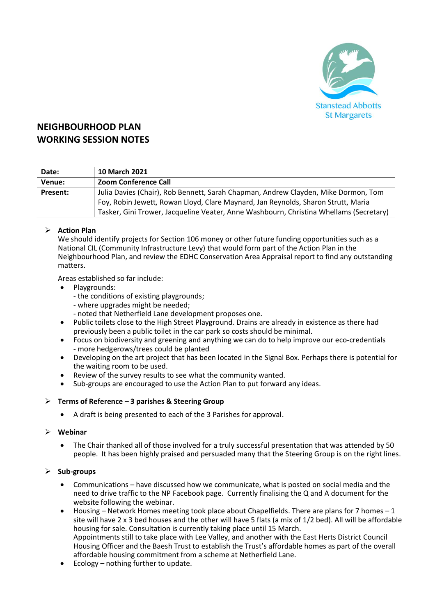

# **NEIGHBOURHOOD PLAN WORKING SESSION NOTES**

| Date:    | <b>10 March 2021</b>                                                                   |
|----------|----------------------------------------------------------------------------------------|
| Venue:   | <b>Zoom Conference Call</b>                                                            |
| Present: | Julia Davies (Chair), Rob Bennett, Sarah Chapman, Andrew Clayden, Mike Dormon, Tom     |
|          | Foy, Robin Jewett, Rowan Lloyd, Clare Maynard, Jan Reynolds, Sharon Strutt, Maria      |
|          | Tasker, Gini Trower, Jacqueline Veater, Anne Washbourn, Christina Whellams (Secretary) |

## ➢ **Action Plan**

We should identify projects for Section 106 money or other future funding opportunities such as a National CIL (Community Infrastructure Levy) that would form part of the Action Plan in the Neighbourhood Plan, and review the EDHC Conservation Area Appraisal report to find any outstanding matters.

Areas established so far include:

- Playgrounds:
	- the conditions of existing playgrounds;
	- where upgrades might be needed;
	- noted that Netherfield Lane development proposes one.
- Public toilets close to the High Street Playground. Drains are already in existence as there had previously been a public toilet in the car park so costs should be minimal.
- Focus on biodiversity and greening and anything we can do to help improve our eco-credentials - more hedgerows/trees could be planted
- Developing on the art project that has been located in the Signal Box. Perhaps there is potential for the waiting room to be used.
- Review of the survey results to see what the community wanted.
- Sub-groups are encouraged to use the Action Plan to put forward any ideas.

## ➢ **Terms of Reference – 3 parishes & Steering Group**

• A draft is being presented to each of the 3 Parishes for approval.

#### ➢ **Webinar**

• The Chair thanked all of those involved for a truly successful presentation that was attended by 50 people. It has been highly praised and persuaded many that the Steering Group is on the right lines.

#### ➢ **Sub-groups**

- Communications have discussed how we communicate, what is posted on social media and the need to drive traffic to the NP Facebook page. Currently finalising the Q and A document for the website following the webinar.
- Housing Network Homes meeting took place about Chapelfields. There are plans for 7 homes 1 site will have 2 x 3 bed houses and the other will have 5 flats (a mix of 1/2 bed). All will be affordable housing for sale. Consultation is currently taking place until 15 March. Appointments still to take place with Lee Valley, and another with the East Herts District Council Housing Officer and the Baesh Trust to establish the Trust's affordable homes as part of the overall affordable housing commitment from a scheme at Netherfield Lane.
- Ecology nothing further to update.